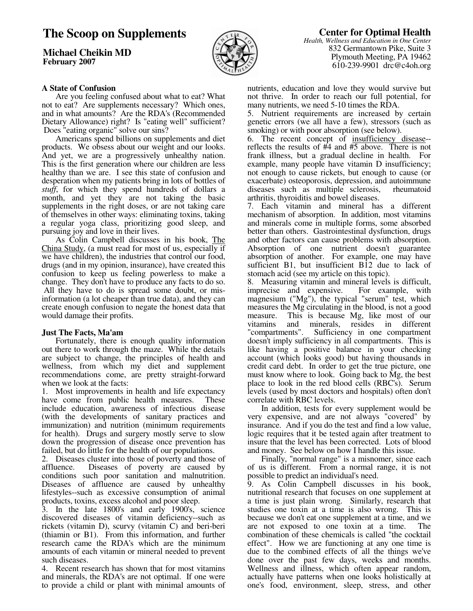# **The Scoop on Supplements**

**Michael Cheikin MD February 2007**



# **Center for Optimal Health**

*Health, Wellness and Education in One Center* 832 Germantown Pike, Suite 3 Plymouth Meeting, PA 19462 610-239-9901 drc@c4oh.org

## **A State of Confusion**

 Are you feeling confused about what to eat? What not to eat? Are supplements necessary? Which ones, and in what amounts? Are the RDA's (Recommended Dietary Allowance) right? Is "eating well" sufficient? Does "eating organic" solve our sins?

 Americans spend billions on supplements and diet products. We obsess about our weight and our looks. And yet, we are a progressively unhealthy nation. This is the first generation where our children are less healthy than we are. I see this state of confusion and desperation when my patients bring in lots of bottles of *stuff*, for which they spend hundreds of dollars a month, and yet they are not taking the basic supplements in the right doses, or are not taking care of themselves in other ways: eliminating toxins, taking a regular yoga class, prioritizing good sleep, and pursuing joy and love in their lives.

 As Colin Campbell discusses in his book, The China Study, (a must read for most of us, especially if we have children), the industries that control our food, drugs (and in my opinion, insurance), have created this confusion to keep us feeling powerless to make a change. They don't have to produce any facts to do so. All they have to do is spread some doubt, or misinformation (a lot cheaper than true data), and they can create enough confusion to negate the honest data that would damage their profits.

#### **Just The Facts, Ma'am**

 Fortunately, there is enough quality information out there to work through the maze. While the details are subject to change, the principles of health and wellness, from which my diet and supplement recommendations come, are pretty straight-forward when we look at the facts:

1. Most improvements in health and life expectancy have come from public health measures. These include education, awareness of infectious disease (with the developments of sanitary practices and immunization) and nutrition (minimum requirements for health). Drugs and surgery mostly serve to slow down the progression of disease once prevention has failed, but do little for the health of our populations.

2. Diseases cluster into those of poverty and those of affluence. Diseases of poverty are caused by conditions such poor sanitation and malnutrition. Diseases of affluence are caused by unhealthy lifestyles--such as excessive consumption of animal products, toxins, excess alcohol and poor sleep.

3. In the late 1800's and early 1900's, science discovered diseases of vitamin deficiency--such as rickets (vitamin D), scurvy (vitamin C) and beri-beri (thiamin or B1). From this information, and further research came the RDA's which are the minimum amounts of each vitamin or mineral needed to prevent such diseases.

4. Recent research has shown that for most vitamins and minerals, the RDA's are not optimal. If one were to provide a child or plant with minimal amounts of nutrients, education and love they would survive but not thrive. In order to reach our full potential, for many nutrients, we need 5-10 times the RDA.

5. Nutrient requirements are increased by certain genetic errors (we all have a few), stressors (such as smoking) or with poor absorption (see below).

6. The recent concept of insufficiency disease- reflects the results of #4 and #5 above. There is not frank illness, but a gradual decline in health. For example, many people have vitamin D insufficiency; not enough to cause rickets, but enough to cause (or exacerbate) osteoporosis, depression, and autoimmune diseases such as multiple sclerosis, rheumatoid arthritis, thyroiditis and bowel diseases.

7. Each vitamin and mineral has a different mechanism of absorption. In addition, most vitamins and minerals come in multiple forms, some absorbed better than others. Gastrointestinal dysfunction, drugs and other factors can cause problems with absorption. Absorption of one nutrient doesn't guarantee absorption of another. For example, one may have sufficient B1, but insufficient B12 due to lack of stomach acid (see my article on this topic).

8. Measuring vitamin and mineral levels is difficult, imprecise and expensive. For example, with magnesium ("Mg"), the typical "serum" test, which measures the Mg circulating in the blood, is not a good measure. This is because Mg, like most of our vitamins and minerals, resides in different "compartments". Sufficiency in one compartment Sufficiency in one compartment doesn't imply sufficiency in all compartments. This is like having a positive balance in your checking account (which looks good) but having thousands in credit card debt. In order to get the true picture, one must know where to look. Going back to Mg, the best place to look in the red blood cells (RBC's). Serum levels (used by most doctors and hospitals) often don't correlate with RBC levels.

 In addition, tests for every supplement would be very expensive, and are not always "covered" by insurance. And if you do the test and find a low value, logic requires that it be tested again after treatment to insure that the level has been corrected. Lots of blood and money. See below on how I handle this issue.

 Finally, "normal range" is a misnomer, since each of us is different. From a normal range, it is not possible to predict an individual's need.

9. As Colin Campbell discusses in his book, nutritional research that focuses on one supplement at a time is just plain wrong. Similarly, research that studies one toxin at a time is also wrong. This is because we don't eat one supplement at a time, and we are not exposed to one toxin at a time. The combination of these chemicals is called "the cocktail effect". How we are functioning at any one time is due to the combined effects of all the things we've done over the past few days, weeks and months. Wellness and illness, which often appear random, actually have patterns when one looks holistically at one's food, environment, sleep, stress, and other